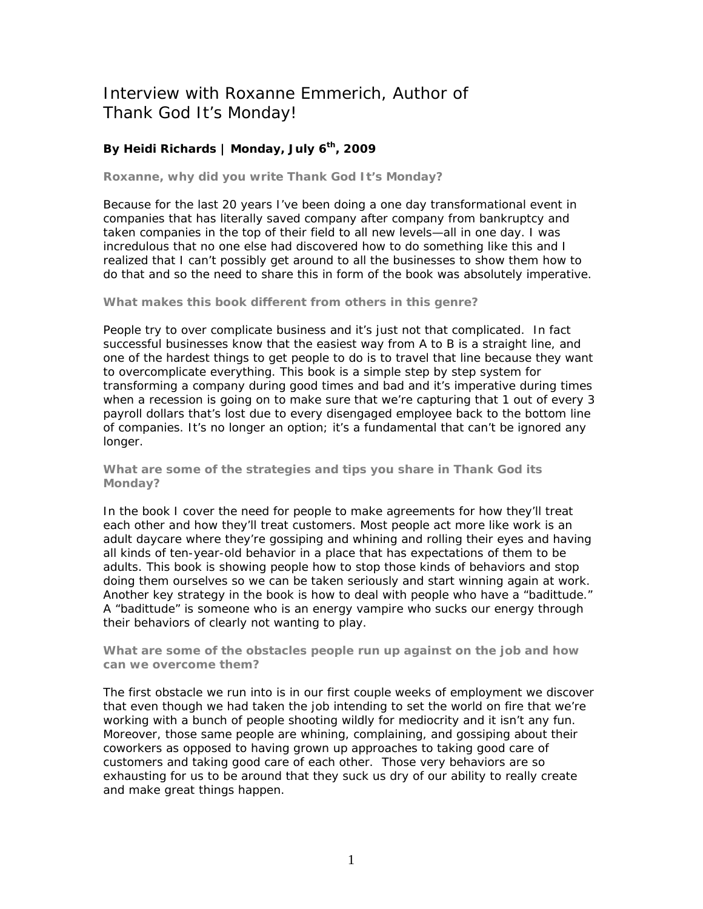# Interview with Roxanne Emmerich, Author of Thank God It's Monday!

# **By Heidi Richards | Monday, July 6th, 2009**

## **Roxanne, why did you write** *Thank God It's Monday***?**

Because for the last 20 years I've been doing a one day transformational event in companies that has literally saved company after company from bankruptcy and taken companies in the top of their field to all new levels—all in one day. I was incredulous that no one else had discovered how to do something like this and I realized that I can't possibly get around to all the businesses to show them how to do that and so the need to share this in form of the book was absolutely imperative.

### **What makes this book different from others in this genre?**

People try to over complicate business and it's just not that complicated. In fact successful businesses know that the easiest way from A to B is a straight line, and one of the hardest things to get people to do is to travel that line because they want to overcomplicate everything. This book is a simple step by step system for transforming a company during good times and bad and it's imperative during times when a recession is going on to make sure that we're capturing that 1 out of every 3 payroll dollars that's lost due to every disengaged employee back to the bottom line of companies. It's no longer an option; it's a fundamental that can't be ignored any longer.

#### **What are some of the strategies and tips you share in** *Thank God its Monday***?**

In the book I cover the need for people to make agreements for how they'll treat each other and how they'll treat customers. Most people act more like work is an adult daycare where they're gossiping and whining and rolling their eyes and having all kinds of ten-year-old behavior in a place that has expectations of them to be adults. This book is showing people how to stop those kinds of behaviors and stop doing them ourselves so we can be taken seriously and start winning again at work. Another key strategy in the book is how to deal with people who have a "badittude." A "badittude" is someone who is an energy vampire who sucks our energy through their behaviors of clearly not wanting to play.

## **What are some of the obstacles people run up against on the job and how can we overcome them?**

The first obstacle we run into is in our first couple weeks of employment we discover that even though we had taken the job intending to set the world on fire that we're working with a bunch of people shooting wildly for mediocrity and it isn't any fun. Moreover, those same people are whining, complaining, and gossiping about their coworkers as opposed to having grown up approaches to taking good care of customers and taking good care of each other. Those very behaviors are so exhausting for us to be around that they suck us dry of our ability to really create and make great things happen.